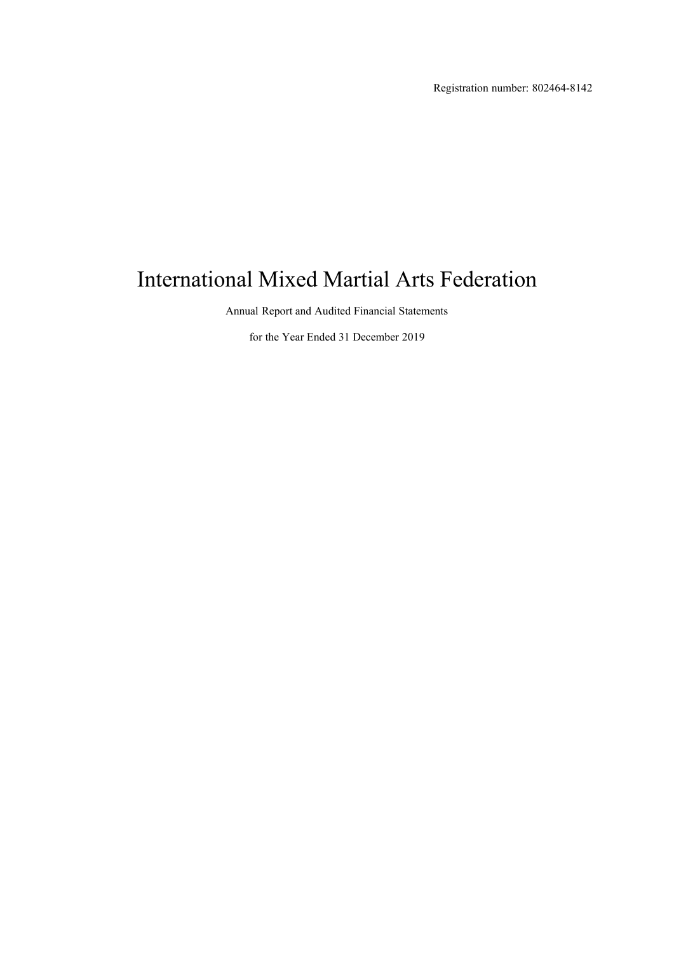Registration number: 802464-8142

# International Mixed Martial Arts Federation

Annual Report and Audited Financial Statements

for the Year Ended 31 December 2019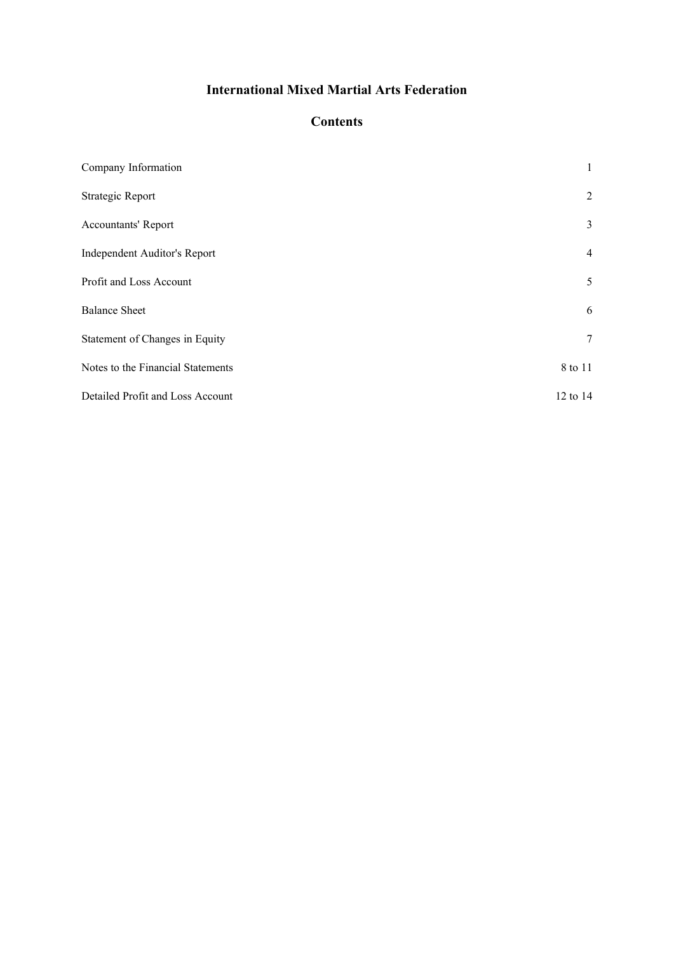### **Contents**

| Company Information               | $\mathbf{1}$   |
|-----------------------------------|----------------|
| Strategic Report                  | 2              |
| <b>Accountants' Report</b>        | 3              |
| Independent Auditor's Report      | $\overline{4}$ |
| Profit and Loss Account           | 5              |
| <b>Balance Sheet</b>              | 6              |
| Statement of Changes in Equity    | $\tau$         |
| Notes to the Financial Statements | 8 to 11        |
| Detailed Profit and Loss Account  | 12 to 14       |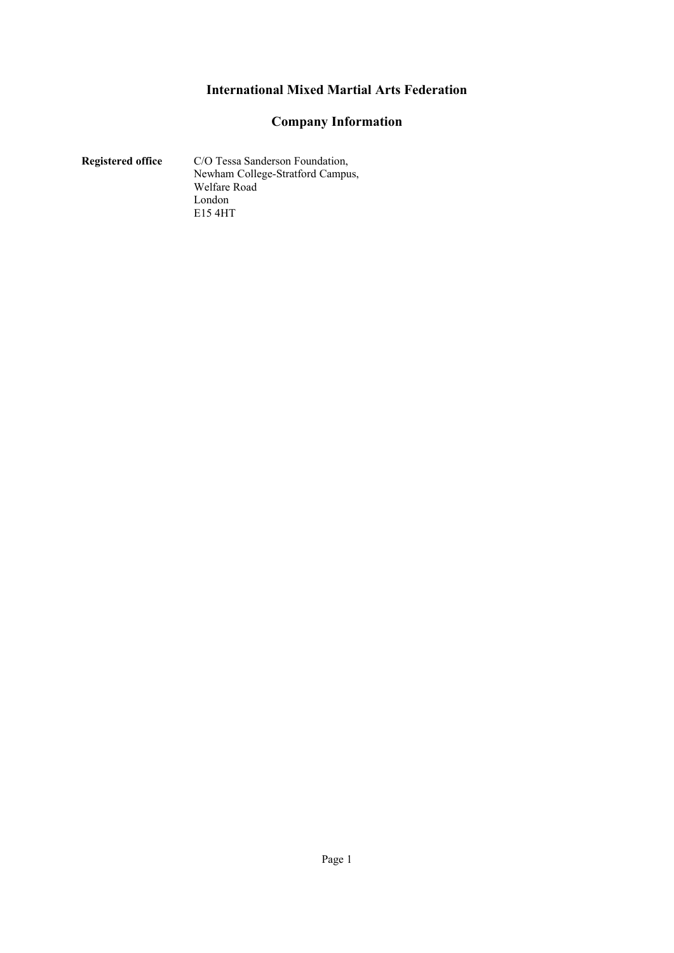### **Company Information**

#### <span id="page-2-1"></span><span id="page-2-0"></span>**Registered office** C/O Tessa Sanderson Foundation, Newham College-Stratford Campus, Welfare Road London E15 4HT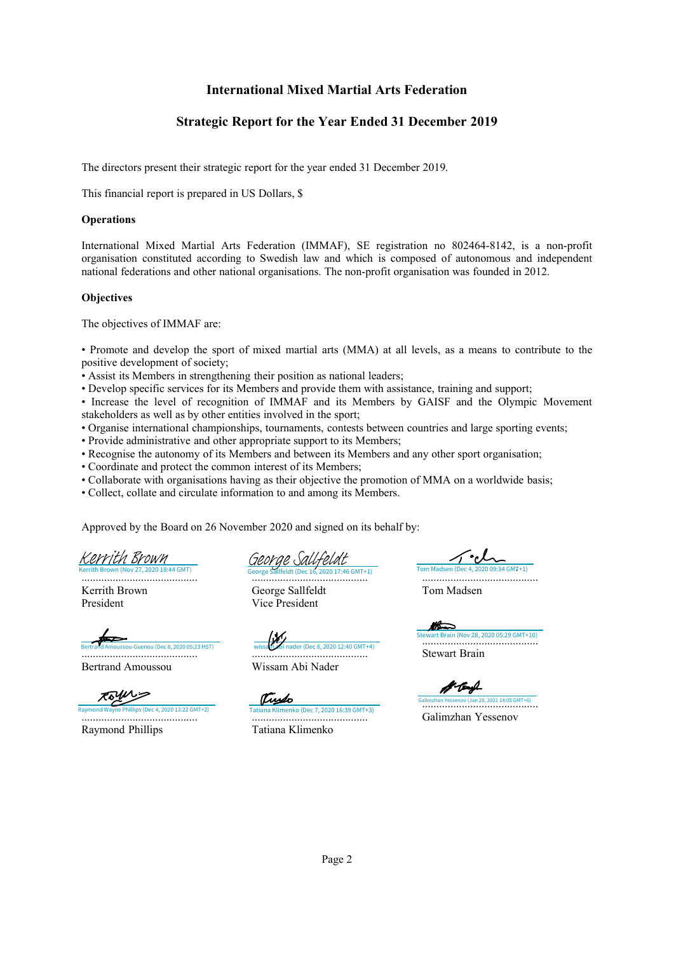### **Strategic Report for the Year Ended 31 December 2019**

<span id="page-3-1"></span><span id="page-3-0"></span>The directors present their strategic report for the year ended 31 December 2019.

This financial report is prepared in US Dollars, \$

#### **Operations**

International Mixed Martial Arts Federation (IMMAF), SE registration no 802464-8142, is a non-profit organisation constituted according to Swedish law and which is composed of autonomous and independent national federations and other national organisations. The non-profit organisation was founded in 2012.

#### **Objectives**

The objectives of IMMAF are:

• Promote and develop the sport of mixed martial arts (MMA) at all levels, as a means to contribute to the positive development of society;

• Assist its Members in strengthening their position as national leaders;

• Develop specific services for its Members and provide them with assistance, training and support;

• Increase the level of recognition of IMMAF and its Members by GAISF and the Olympic Movement stakeholders as well as by other entities involved in the sport;

• Organise international championships, tournaments, contests between countries and large sporting events;

• Provide administrative and other appropriate support to its Members;

• Recognise the autonomy of its Members and between its Members and any other sport organisation;

- Coordinate and protect the common interest of its Members;
- Collaborate with organisations having as their objective the promotion of MMA on a worldwide basis;

• Collect, collate and circulate information to and among its Members.

Approved by the Board on 26 November 2020 and signed on its behalf by:

**Brown (Nov 27, 2020 18:44 GMT)** [Kerrith Brown](https://eu1.documents.adobe.com/verifier?tx=CBJCHBCAABAAax9zwxv5dMeiGrRFvi4qVHJQHuNMxU68)

......................................... Kerrith Brown President

.........................................

Bertrand Amoussou

Rowin

Raymond Wayne Phillips (Dec 4, 2020 13:22 GMT+2) Raymond Phillips

[George Sallfeldt](https://eu1.documents.adobe.com/verifier?tx=CBJCHBCAABAAax9zwxv5dMeiGrRFvi4qVHJQHuNMxU68) (Dec 16, 2020 17:46 GMT+1)<br>George Sallfeldt (Dec 16, 2020 17:46 GMT+1)

George Sallfeldt Vice President

 $\overline{OQ\cdot 34 \text{ GMT+1}}$ 

.........................................

 $B = 6$ uenou (Dec 8, 2020 05:23 HST) [wissam abi nader \(Dec 8, 2020 12:40 GMT+4\)](https://eu1.documents.adobe.com/verifier?tx=CBJCHBCAABAAax9zwxv5dMeiGrRFvi4qVHJQHuNMxU68)

......................................... Wissam Abi Nader

Trypo [Tatiana Klimenko \(Dec 7, 2020 16:39 GMT+3\)](https://eu1.documents.adobe.com/verifier?tx=CBJCHBCAABAAax9zwxv5dMeiGrRFvi4qVHJQHuNMxU68) ......................................... Tatiana Klimenko

Tom Madsen

M ......................................... [Stewart Brain \(Nov 28, 2020 05:29 GMT+10\)](https://adobefreeuserschannel.eu1.documents.adobe.com/verifier?tx=CBJCHBCAABAAax9zwxv5dMeiGrRFvi4qVHJQHuNMxU68)

Stewart Brain

[.......................................](https://eu1.documents.adobe.com/verifier?tx=CBJCHBCAABAAax9zwxv5dMeiGrRFvi4qVHJQHuNMxU68).. Galimzhan Yessenov (Jan 28, 2021 14:05 GMT+6)Galimzhan Yessenov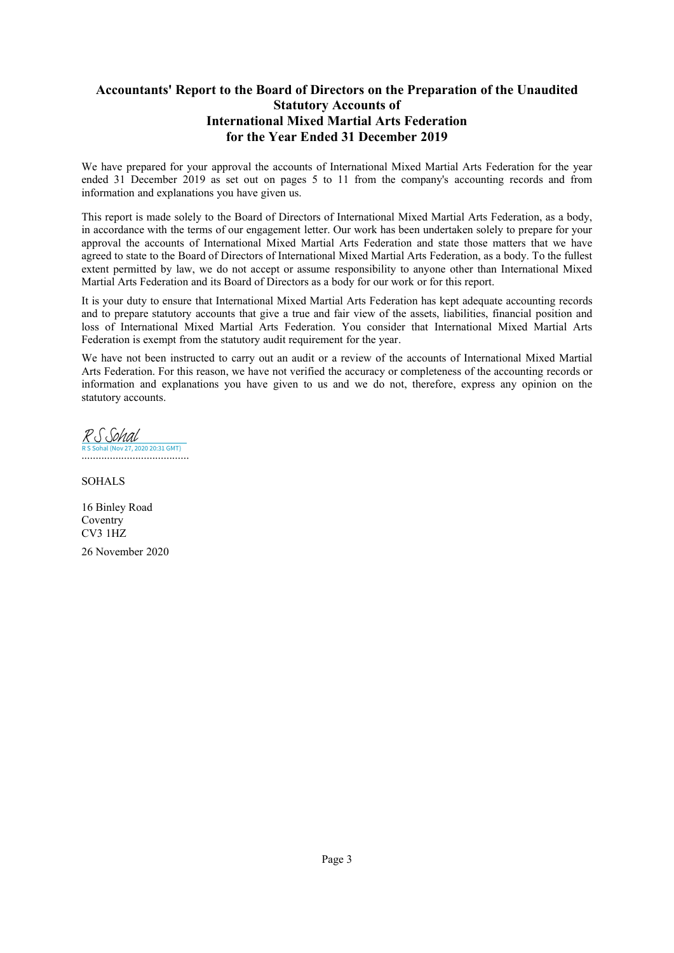### <span id="page-4-1"></span>**Accountants' Report to the Board of Directors on the Preparation of the Unaudited Statutory Accounts of International Mixed Martial Arts Federation for the Year Ended 31 December 2019**

<span id="page-4-0"></span>We have prepared for your approval the accounts of International Mixed Martial Arts Federation for the year ended 31 December 2019 as set out on pages [5](#page-6-2) to [11](#page-6-2) from the company's accounting records and from information and explanations you have given us.

This report is made solely to the Board of Directors of International Mixed Martial Arts Federation, as a body, in accordance with the terms of our engagement letter. Our work has been undertaken solely to prepare for your approval the accounts of International Mixed Martial Arts Federation and state those matters that we have agreed to state to the Board of Directors of International Mixed Martial Arts Federation, as a body. To the fullest extent permitted by law, we do not accept or assume responsibility to anyone other than International Mixed Martial Arts Federation and its Board of Directors as a body for our work or for this report.

It is your duty to ensure that International Mixed Martial Arts Federation has kept adequate accounting records and to prepare statutory accounts that give a true and fair view of the assets, liabilities, financial position and loss of International Mixed Martial Arts Federation. You consider that International Mixed Martial Arts Federation is exempt from the statutory audit requirement for the year.

We have not been instructed to carry out an audit or a review of the accounts of International Mixed Martial Arts Federation. For this reason, we have not verified the accuracy or completeness of the accounting records or information and explanations you have given to us and we do not, therefore, express any opinion on the statutory accounts.

...................................... R S Sohal (Nov 27, 2020 20:31 GMT) [R S Sohal](https://eu1.documents.adobe.com/verifier?tx=CBJCHBCAABAAax9zwxv5dMeiGrRFvi4qVHJQHuNMxU68)

SOHALS

16 Binley Road Coventry CV3 1HZ 26 November 2020

Page 3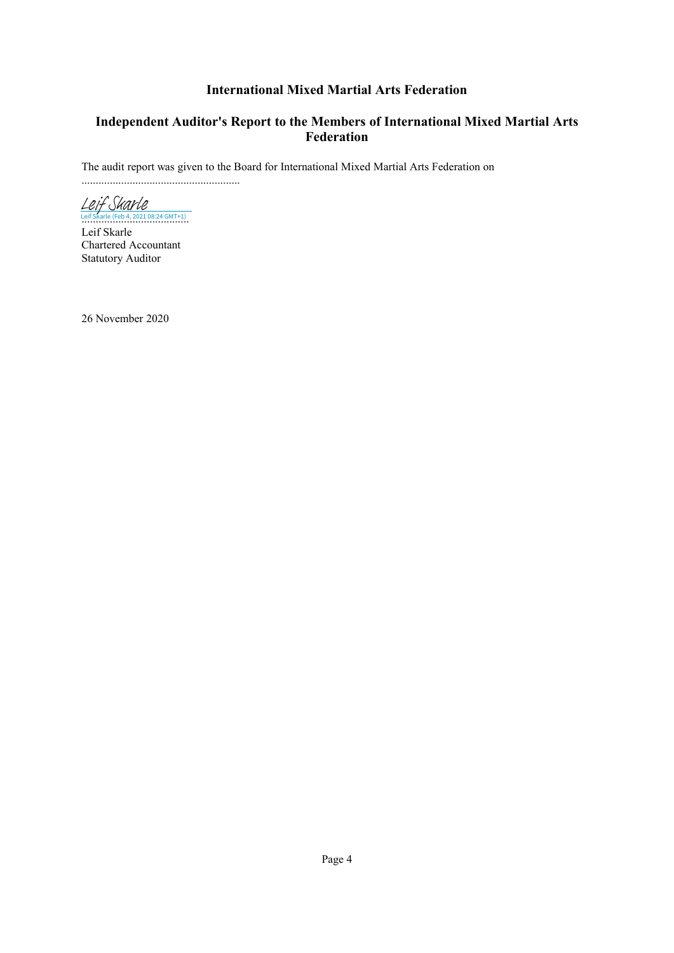### <span id="page-5-1"></span>**Independent Auditor's Report to the Members of International Mixed Martial Arts Federation**

<span id="page-5-0"></span>The audit report was given to the Board for International Mixed Martial Arts Federation on

........................................................

Le If Sharle<br>[Leif Skarle](https://eu1.documents.adobe.com/verifier?tx=CBJCHBCAABAAup6rHVEUHLnmFMIR2OM-9O2zEMhoxUdv) (Feb 4, 2021 08:24 GMT+1)

Leif Skarle Chartered Accountant Statutory Auditor

26 November 2020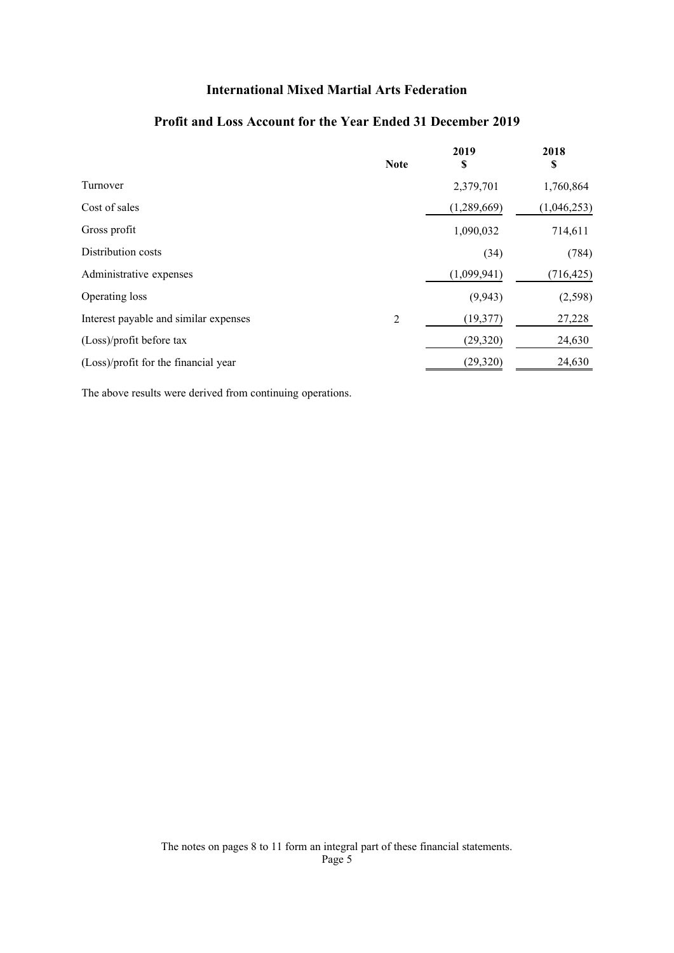### **Profit and Loss Account for the Year Ended 31 December 2019**

<span id="page-6-2"></span><span id="page-6-1"></span><span id="page-6-0"></span>

|                                       | <b>Note</b> | 2019<br>\$  | 2018<br>\$  |
|---------------------------------------|-------------|-------------|-------------|
| Turnover                              |             | 2,379,701   | 1,760,864   |
| Cost of sales                         |             | (1,289,669) | (1,046,253) |
| Gross profit                          |             | 1,090,032   | 714,611     |
| Distribution costs                    |             | (34)        | (784)       |
| Administrative expenses               |             | (1,099,941) | (716, 425)  |
| Operating loss                        |             | (9, 943)    | (2,598)     |
| Interest payable and similar expenses | 2           | (19, 377)   | 27,228      |
| (Loss)/profit before tax              |             | (29, 320)   | 24,630      |
| (Loss)/profit for the financial year  |             | (29, 320)   | 24,630      |

The above results were derived from continuing operations.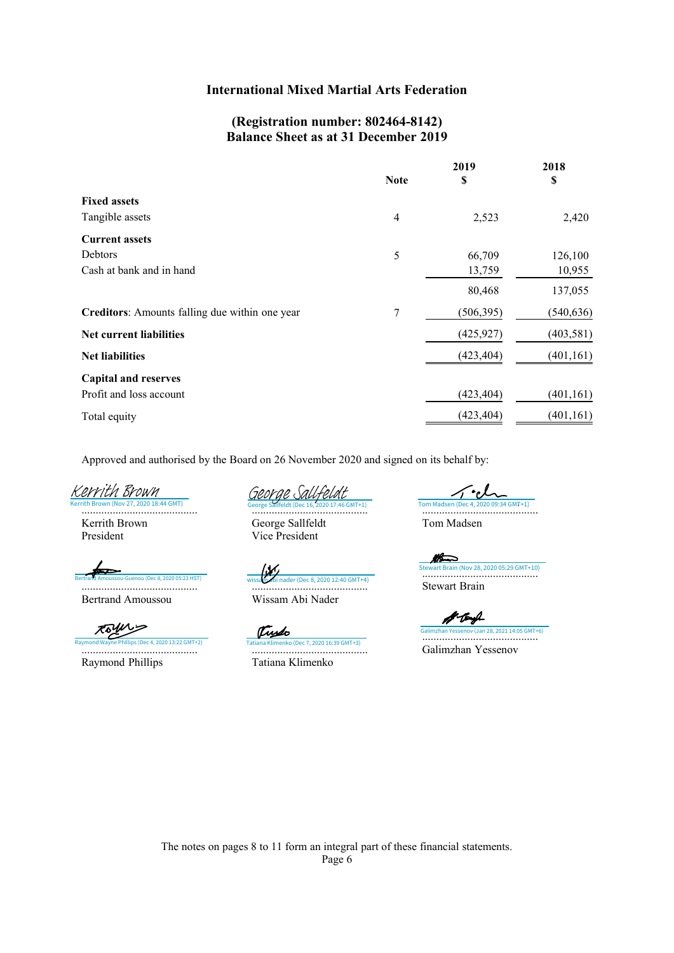### **(Registration number: 802464-8142) Balance Sheet as at 31 December 2019**

<span id="page-7-1"></span><span id="page-7-0"></span>

|                                                | <b>Note</b> | 2019       | 2018<br>\$ |
|------------------------------------------------|-------------|------------|------------|
|                                                |             | \$         |            |
| <b>Fixed assets</b>                            |             |            |            |
| Tangible assets                                | 4           | 2,523      | 2,420      |
| <b>Current assets</b>                          |             |            |            |
| Debtors                                        | 5           | 66,709     | 126,100    |
| Cash at bank and in hand                       |             | 13,759     | 10,955     |
|                                                |             | 80,468     | 137,055    |
| Creditors: Amounts falling due within one year | 7           | (506, 395) | (540, 636) |
| <b>Net current liabilities</b>                 |             | (425, 927) | (403, 581) |
| <b>Net liabilities</b>                         |             | (423, 404) | (401, 161) |
| <b>Capital and reserves</b>                    |             |            |            |
| Profit and loss account                        |             | (423, 404) | (401, 161) |
| Total equity                                   |             | (423, 404) | (401, 161) |

Approved and authorised by the Board on 26 November 2020 and signed on its behalf by:

Vice President

2020 18:44 GMT) [Kerrith Brown](https://eu1.documents.adobe.com/verifier?tx=CBJCHBCAABAAax9zwxv5dMeiGrRFvi4qVHJQHuNMxU68)

......................................... Kerrith Brown President

ertrand Amoussou-Guenou (Dec 8, 2020 05:23 HST)

Bertrand Amoussou

Royers ......................................... [Raymond Wayne Phillips \(Dec 4, 2020 13:22 GMT+2\)](https://eu1.documents.adobe.com/verifier?tx=CBJCHBCAABAAax9zwxv5dMeiGrRFvi4qVHJQHuNMxU68) [Tatiana Klimenko \(Dec 7, 2020 16:39 GMT+3\)](https://eu1.documents.adobe.com/verifier?tx=CBJCHBCAABAAax9zwxv5dMeiGrRFvi4qVHJQHuNMxU68) Raymond Phillips

[George Sallfeldt](https://eu1.documents.adobe.com/verifier?tx=CBJCHBCAABAAax9zwxv5dMeiGrRFvi4qVHJQHuNMxU68) (Dec 16, 2020 17:46 GMT+1) George Sallfeldt

......................................... Wissam Abi Nader **Berthrand Amoust Chec 8, 2020 12:40 GMT+4)** with a strand abi nader (Dec 8, 2020 12:40 GMT+4)

Tryso ......................................... Tatiana Klimenko

......................................... [Tom Madsen \(Dec 4, 2020 09:34 GMT+1\)](https://eu1.documents.adobe.com/verifier?tx=CBJCHBCAABAAax9zwxv5dMeiGrRFvi4qVHJQHuNMxU68)

Tom Madsen

M ......................................... [Stewart Brain \(Nov 28, 2020 05:29 GMT+10\)](https://adobefreeuserschannel.eu1.documents.adobe.com/verifier?tx=CBJCHBCAABAAax9zwxv5dMeiGrRFvi4qVHJQHuNMxU68) Stewart Brain

A-tayl ov (Jan 28, 2021 14:05 GMT+6) Galimzhan Yessenov (Jan 28, 2021 14:05 GMT+ Galimzhan Yessenov

The notes on pages [8](#page-9-0) to [11](#page-9-0) form an integral part of these financial statements. Page 6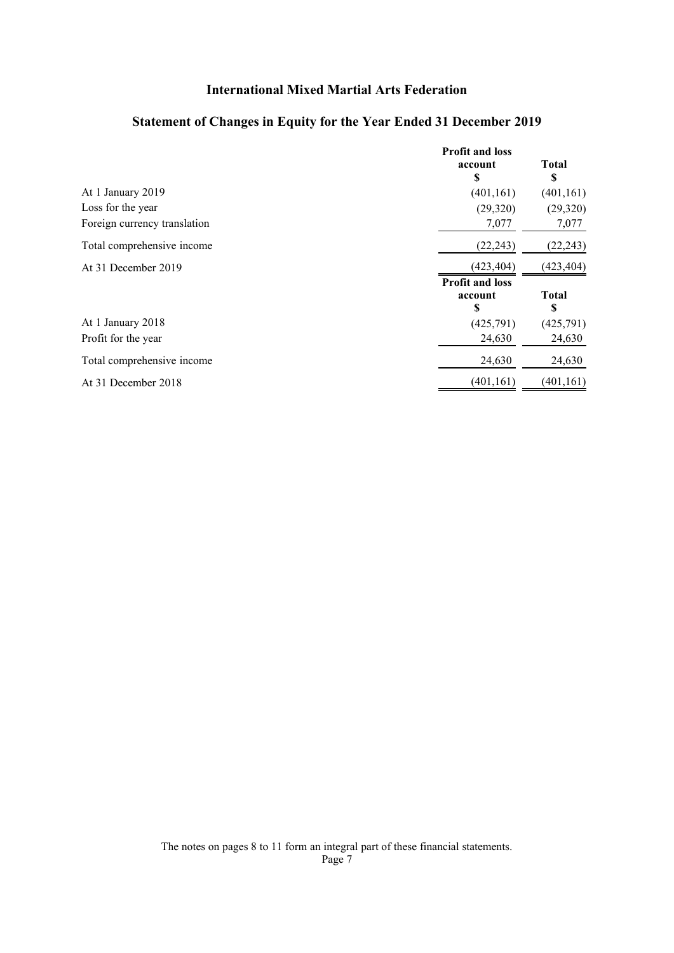### **Statement of Changes in Equity for the Year Ended 31 December 2019**

<span id="page-8-1"></span><span id="page-8-0"></span>

|                              | <b>Profit and loss</b><br>account<br>S | <b>Total</b>      |
|------------------------------|----------------------------------------|-------------------|
| At 1 January 2019            | (401, 161)                             | (401, 161)        |
| Loss for the year            | (29,320)                               | (29,320)          |
| Foreign currency translation | 7,077                                  | 7,077             |
| Total comprehensive income   | (22, 243)                              | (22, 243)         |
| At 31 December 2019          | (423, 404)                             | (423, 404)        |
|                              | <b>Profit and loss</b><br>account<br>S | <b>Total</b><br>S |
| At 1 January 2018            | (425,791)                              | (425,791)         |
| Profit for the year          | 24,630                                 | 24,630            |
| Total comprehensive income   | 24,630                                 | 24,630            |
| At 31 December 2018          | (401, 161)                             | (401, 161)        |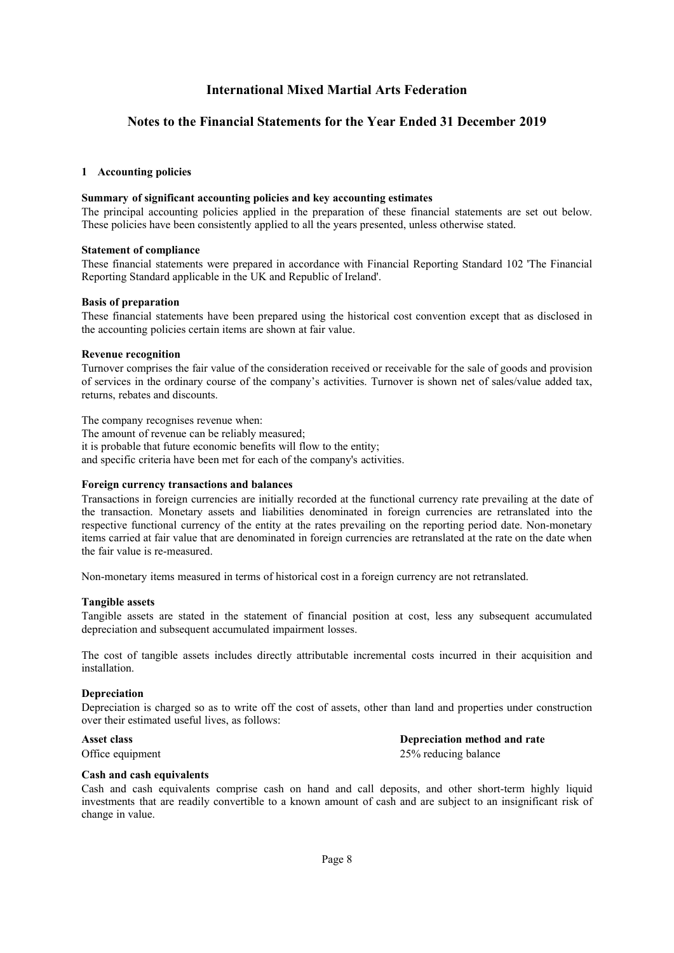#### <span id="page-9-1"></span>**Notes to the Financial Statements for the Year Ended 31 December 2019**

#### <span id="page-9-0"></span>**[1](#page-9-0) Accounting policies**

#### **Summary of significant accounting policies and key accounting estimates**

The principal accounting policies applied in the preparation of these financial statements are set out below. These policies have been consistently applied to all the years presented, unless otherwise stated.

#### **Statement of compliance**

These financial statements were prepared in accordance with Financial Reporting Standard 102 'The Financial Reporting Standard applicable in the UK and Republic of Ireland'.

#### **Basis of preparation**

These financial statements have been prepared using the historical cost convention except that as disclosed in the accounting policies certain items are shown at fair value.

#### **Revenue recognition**

Turnover comprises the fair value of the consideration received or receivable for the sale of goods and provision of services in the ordinary course of the company's activities. Turnover is shown net of sales/value added tax, returns, rebates and discounts.

The company recognises revenue when:

The amount of revenue can be reliably measured;

it is probable that future economic benefits will flow to the entity;

and specific criteria have been met for each of the company's activities.

#### **Foreign currency transactions and balances**

Transactions in foreign currencies are initially recorded at the functional currency rate prevailing at the date of the transaction. Monetary assets and liabilities denominated in foreign currencies are retranslated into the respective functional currency of the entity at the rates prevailing on the reporting period date. Non-monetary items carried at fair value that are denominated in foreign currencies are retranslated at the rate on the date when the fair value is re-measured.

Non-monetary items measured in terms of historical cost in a foreign currency are not retranslated.

#### **Tangible assets**

Tangible assets are stated in the statement of financial position at cost, less any subsequent accumulated depreciation and subsequent accumulated impairment losses.

The cost of tangible assets includes directly attributable incremental costs incurred in their acquisition and installation.

#### **Depreciation**

Depreciation is charged so as to write off the cost of assets, other than land and properties under construction over their estimated useful lives, as follows:

**Asset class Depreciation method and rate**

Office equipment 25% reducing balance

#### **Cash and cash equivalents**

Cash and cash equivalents comprise cash on hand and call deposits, and other short-term highly liquid investments that are readily convertible to a known amount of cash and are subject to an insignificant risk of change in value.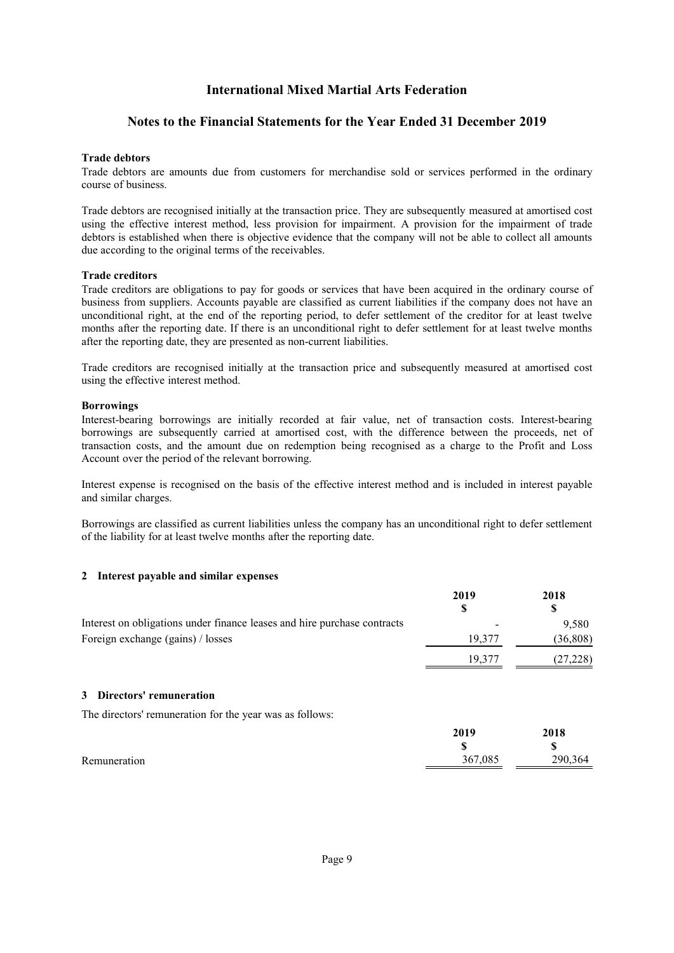#### <span id="page-10-1"></span>**Notes to the Financial Statements for the Year Ended 31 December 2019**

#### **Trade debtors**

Trade debtors are amounts due from customers for merchandise sold or services performed in the ordinary course of business.

Trade debtors are recognised initially at the transaction price. They are subsequently measured at amortised cost using the effective interest method, less provision for impairment. A provision for the impairment of trade debtors is established when there is objective evidence that the company will not be able to collect all amounts due according to the original terms of the receivables.

#### **Trade creditors**

Trade creditors are obligations to pay for goods or services that have been acquired in the ordinary course of business from suppliers. Accounts payable are classified as current liabilities if the company does not have an unconditional right, at the end of the reporting period, to defer settlement of the creditor for at least twelve months after the reporting date. If there is an unconditional right to defer settlement for at least twelve months after the reporting date, they are presented as non-current liabilities.

Trade creditors are recognised initially at the transaction price and subsequently measured at amortised cost using the effective interest method.

#### **Borrowings**

Interest-bearing borrowings are initially recorded at fair value, net of transaction costs. Interest-bearing borrowings are subsequently carried at amortised cost, with the difference between the proceeds, net of transaction costs, and the amount due on redemption being recognised as a charge to the Profit and Loss Account over the period of the relevant borrowing.

Interest expense is recognised on the basis of the effective interest method and is included in interest payable and similar charges.

<span id="page-10-0"></span>Borrowings are classified as current liabilities unless the company has an unconditional right to defer settlement of the liability for at least twelve months after the reporting date.

#### **[2](#page-10-0) Interest payable and similar expenses**

<span id="page-10-2"></span>

|                                                                          | 2019   | 2018      |
|--------------------------------------------------------------------------|--------|-----------|
|                                                                          | S      | \$        |
| Interest on obligations under finance leases and hire purchase contracts |        | 9,580     |
| Foreign exchange (gains) / losses                                        | 19,377 | (36, 808) |
|                                                                          | 19.377 | (27, 228) |
| Directors' remuneration<br>3                                             |        |           |
| The directors' remuneration for the year was as follows:                 |        |           |

|              | 2019    | 2018    |
|--------------|---------|---------|
|              |         | ۱P      |
| Remuneration | 367,085 | 290,364 |
|              |         |         |

**2019**

**2018**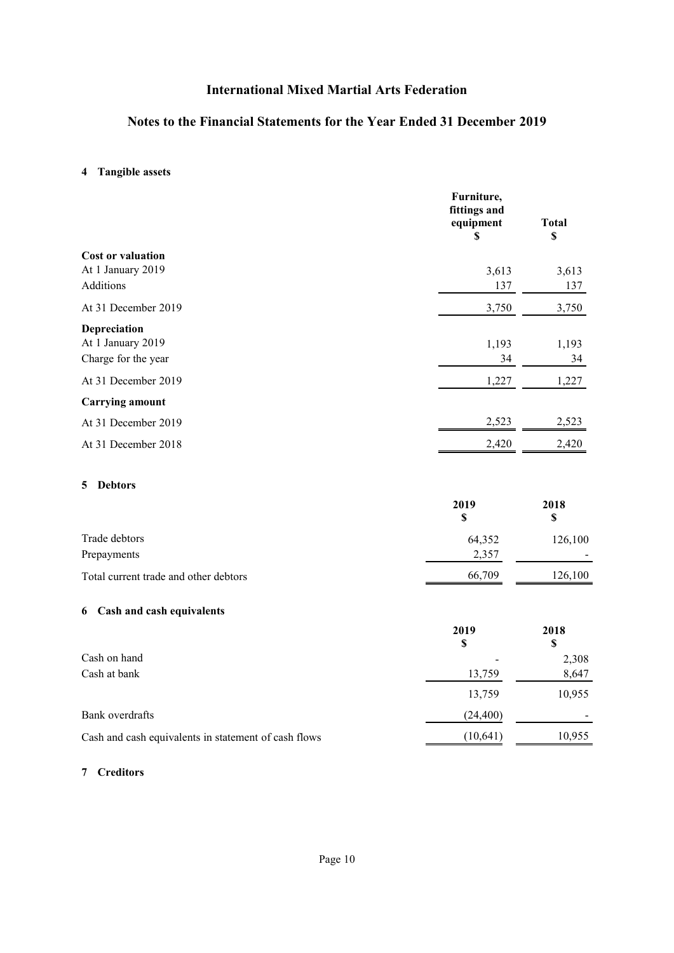### <span id="page-11-3"></span>**Notes to the Financial Statements for the Year Ended 31 December 2019**

### <span id="page-11-0"></span>**[4](#page-11-0) Tangible assets**

|                                       | Furniture,<br>fittings and<br>equipment<br>S | <b>Total</b><br>\$ |
|---------------------------------------|----------------------------------------------|--------------------|
| <b>Cost or valuation</b>              |                                              |                    |
| At 1 January 2019                     | 3,613                                        | 3,613              |
| Additions                             | 137                                          | 137                |
| At 31 December 2019                   | 3,750                                        | 3,750              |
| Depreciation                          |                                              |                    |
| At 1 January 2019                     | 1,193                                        | 1,193              |
| Charge for the year                   | 34                                           | 34                 |
| At 31 December 2019                   | 1,227                                        | 1,227              |
| <b>Carrying amount</b>                |                                              |                    |
| At 31 December 2019                   | 2,523                                        | 2,523              |
| At 31 December 2018                   | 2,420                                        | 2,420              |
| <b>Debtors</b><br>5                   | 2019<br>\$                                   | 2018<br>\$         |
| Trade debtors                         | 64,352                                       | 126,100            |
| Prepayments                           | 2,357                                        |                    |
| Total current trade and other debtors | 66,709                                       | 126,100            |
| 6 Cash and cash equivalents           |                                              |                    |
|                                       | 2019<br>\$                                   | 2018<br>\$         |
|                                       |                                              |                    |

<span id="page-11-4"></span><span id="page-11-1"></span>

| Cash on hand                                         |           | 2,308  |
|------------------------------------------------------|-----------|--------|
| Cash at bank                                         | 13,759    | 8,647  |
|                                                      | 13,759    | 10,955 |
| Bank overdrafts                                      | (24, 400) |        |
| Cash and cash equivalents in statement of cash flows | (10, 641) | 10,955 |

#### <span id="page-11-2"></span>**[7](#page-11-2) Creditors**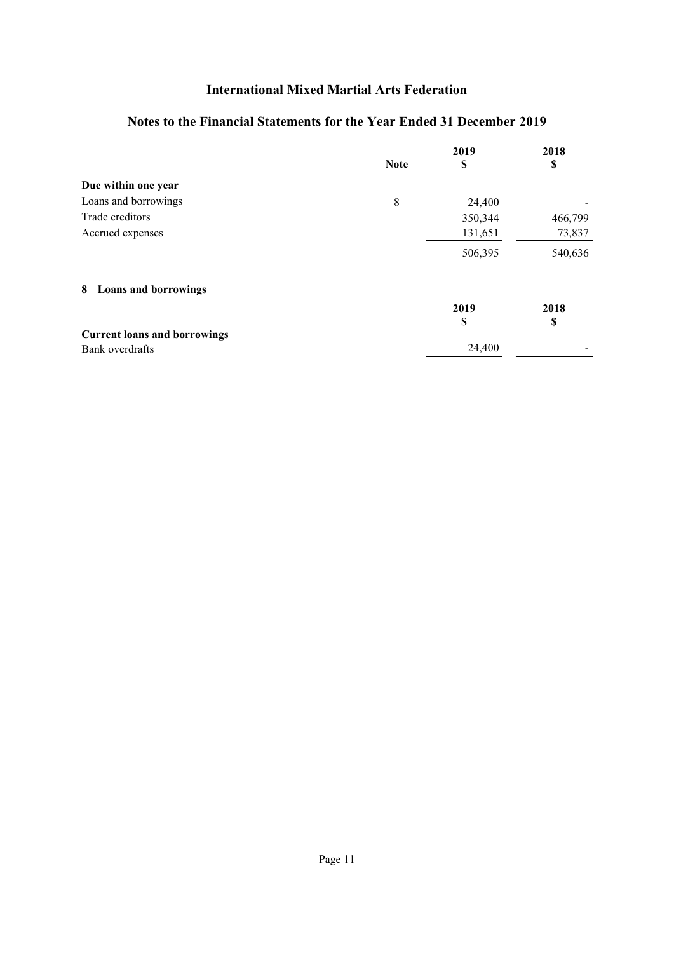### **Notes to the Financial Statements for the Year Ended 31 December 2019**

<span id="page-12-0"></span>

|                                     |             | 2019    | 2018    |
|-------------------------------------|-------------|---------|---------|
|                                     | <b>Note</b> | S       | \$      |
| Due within one year                 |             |         |         |
| Loans and borrowings                | 8           | 24,400  |         |
| Trade creditors                     |             | 350,344 | 466,799 |
| Accrued expenses                    |             | 131,651 | 73,837  |
|                                     |             | 506,395 | 540,636 |
| 8 Loans and borrowings              |             |         |         |
|                                     |             | 2019    | 2018    |
|                                     |             | S       | \$      |
| <b>Current loans and borrowings</b> |             |         |         |
| Bank overdrafts                     |             | 24,400  |         |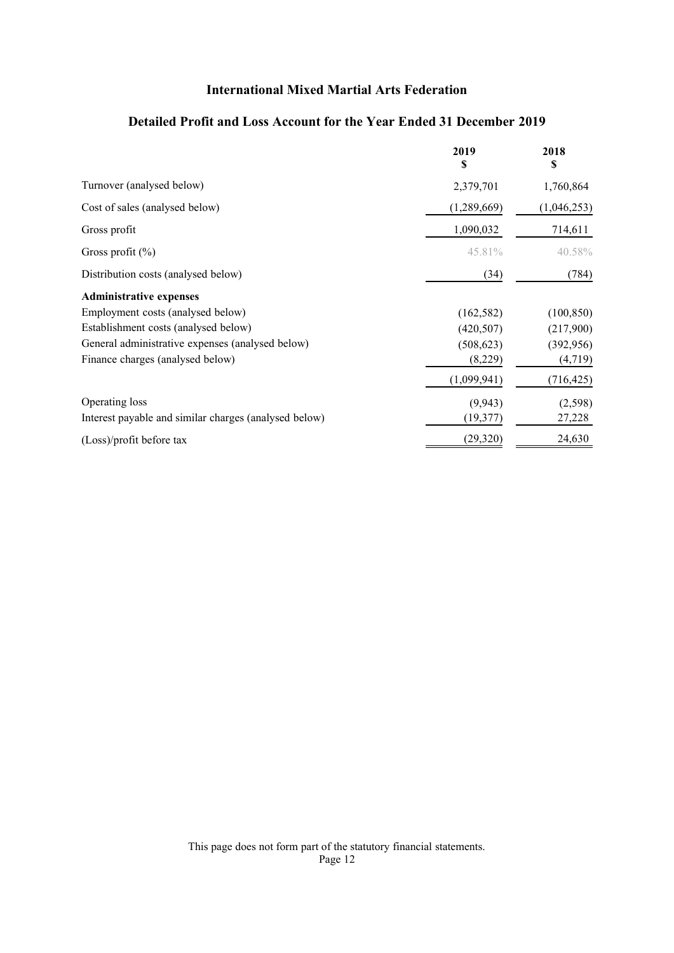### **Detailed Profit and Loss Account for the Year Ended 31 December 2019**

<span id="page-13-1"></span><span id="page-13-0"></span>

|                                                       | 2019<br>S   | 2018<br>\$  |
|-------------------------------------------------------|-------------|-------------|
| Turnover (analysed below)                             | 2,379,701   | 1,760,864   |
| Cost of sales (analysed below)                        | (1,289,669) | (1,046,253) |
| Gross profit                                          | 1,090,032   | 714,611     |
| Gross profit $(\% )$                                  | 45.81%      | 40.58%      |
| Distribution costs (analysed below)                   | (34)        | (784)       |
| <b>Administrative expenses</b>                        |             |             |
| Employment costs (analysed below)                     | (162, 582)  | (100, 850)  |
| Establishment costs (analysed below)                  | (420, 507)  | (217,900)   |
| General administrative expenses (analysed below)      | (508, 623)  | (392, 956)  |
| Finance charges (analysed below)                      | (8,229)     | (4, 719)    |
|                                                       | (1,099,941) | (716, 425)  |
| Operating loss                                        | (9, 943)    | (2,598)     |
| Interest payable and similar charges (analysed below) | (19, 377)   | 27,228      |
| (Loss)/profit before tax                              | (29, 320)   | 24,630      |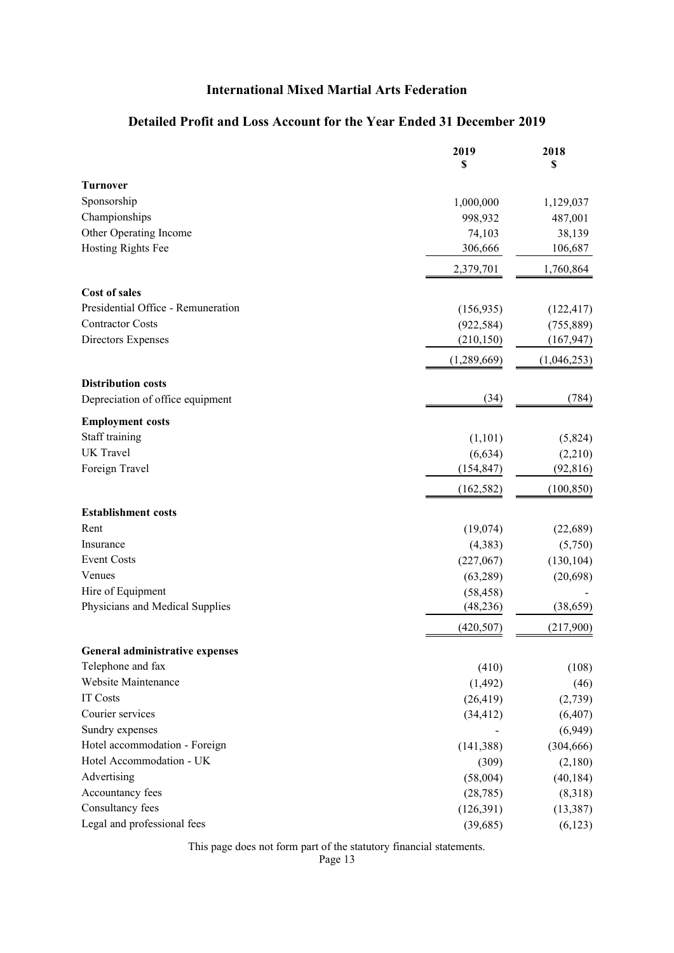### **Detailed Profit and Loss Account for the Year Ended 31 December 2019**

|                                        | 2019<br>\$  | 2018<br>\$  |
|----------------------------------------|-------------|-------------|
| <b>Turnover</b>                        |             |             |
| Sponsorship                            | 1,000,000   | 1,129,037   |
| Championships                          | 998,932     | 487,001     |
| Other Operating Income                 | 74,103      | 38,139      |
| Hosting Rights Fee                     | 306,666     | 106,687     |
|                                        | 2,379,701   | 1,760,864   |
| <b>Cost of sales</b>                   |             |             |
| Presidential Office - Remuneration     | (156, 935)  | (122, 417)  |
| <b>Contractor Costs</b>                | (922, 584)  | (755, 889)  |
| Directors Expenses                     | (210, 150)  | (167, 947)  |
|                                        | (1,289,669) | (1,046,253) |
| <b>Distribution costs</b>              |             |             |
| Depreciation of office equipment       | (34)        | (784)       |
| <b>Employment costs</b>                |             |             |
| Staff training                         | (1,101)     | (5,824)     |
| <b>UK</b> Travel                       | (6, 634)    | (2,210)     |
| Foreign Travel                         | (154, 847)  | (92, 816)   |
|                                        | (162, 582)  | (100, 850)  |
| <b>Establishment costs</b>             |             |             |
| Rent                                   | (19,074)    | (22, 689)   |
| Insurance                              | (4, 383)    | (5,750)     |
| <b>Event Costs</b>                     | (227,067)   | (130, 104)  |
| Venues                                 | (63, 289)   | (20, 698)   |
| Hire of Equipment                      | (58, 458)   |             |
| Physicians and Medical Supplies        | (48, 236)   | (38, 659)   |
|                                        | (420, 507)  | (217,900)   |
| <b>General administrative expenses</b> |             |             |
| Telephone and fax                      | (410)       | (108)       |
| Website Maintenance                    | (1, 492)    | (46)        |
| <b>IT Costs</b>                        | (26, 419)   | (2,739)     |
| Courier services                       | (34, 412)   | (6, 407)    |
| Sundry expenses                        |             | (6,949)     |
| Hotel accommodation - Foreign          | (141, 388)  | (304, 666)  |
| Hotel Accommodation - UK               | (309)       | (2,180)     |
| Advertising                            | (58,004)    | (40, 184)   |
| Accountancy fees                       | (28, 785)   | (8,318)     |
| Consultancy fees                       | (126,391)   | (13, 387)   |
| Legal and professional fees            | (39,685)    | (6,123)     |

This page does not form part of the statutory financial statements.